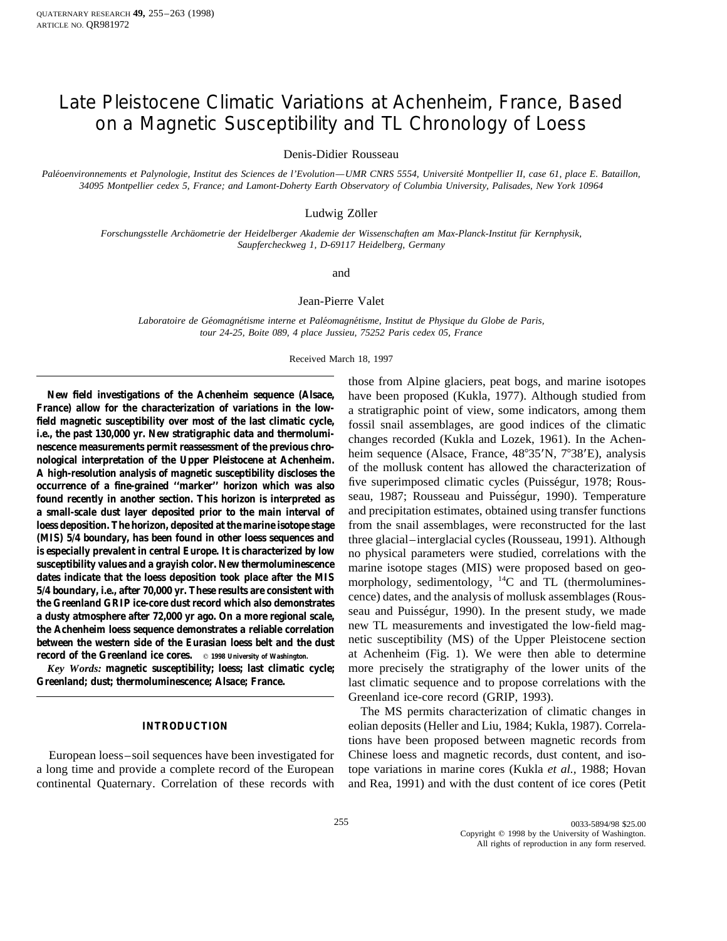# Late Pleistocene Climatic Variations at Achenheim, France, Based on a Magnetic Susceptibility and TL Chronology of Loess

Denis-Didier Rousseau

*Pale´oenvironnements et Palynologie, Institut des Sciences de l'Evolution—UMR CNRS 5554, Universite´ Montpellier II, case 61, place E. Bataillon, 34095 Montpellier cedex 5, France; and Lamont-Doherty Earth Observatory of Columbia University, Palisades, New York 10964*

Ludwig Zöller

*Forschungsstelle Archa¨ometrie der Heidelberger Akademie der Wissenschaften am Max-Planck-Institut fu¨r Kernphysik, Saupfercheckweg 1, D-69117 Heidelberg, Germany*

and

Jean-Pierre Valet

Laboratoire de Géomagnétisme interne et Paléomagnétisme, Institut de Physique du Globe de Paris, *tour 24-25, Boite 089, 4 place Jussieu, 75252 Paris cedex 05, France*

Received March 18, 1997

**New field investigations of the Achenheim sequence (Alsace,** have been proposed (Kukla, 1977). Although studied from **France**) allow for the characterization of variations in the low-<br>a stratigraphic point of view, some i France) allow for the characterization of variations in the low-<br>field magnetic susceptibility over most of the last climatic cycle,<br>i.e., the past 130,000 yr. New stratigraphic data and thermolumi-<br>i.e., the past 130,000 **found recently in another section. This horizon which was also** the superimposed climatic cycles (Puissegur, 1978; Rous-<br>**found recently in another section. This horizon is interpreted as** seau, 1987; Rousseau and Puisség **a small-scale dust layer deposited prior to the main interval of** and precipitation estimates, obtained using transfer functions **loess deposition. The horizon, deposited at the marine isotope stage** from the snail assemblages, were reconstructed for the last **(MIS) 5/4 boundary, has been found in other loess sequences and** three glacial–interglacial cycles (Rousseau, 1991). Although is especially prevalent in central Europe. It is characterized by low no physical parameters we is especially prevalent in central Europe. It is characterized by low<br>susceptibility values and a grayish color. New thermoluminescence<br>dates indicate that the loess deposition took place after the MIS<br>dates indicate that **between the western side of the Eurasian loess belt and the dust** netic susceptibility (MS) of the Upper Pleistocene section between the western side of the Eurasian loess belt and the dust netic susceptibility (MS) of th **record of the Greenland ice cores.**  $\circ$  1998 University of Washington. at Achenheim (Fig. 1). We were then able to determine

a long time and provide a complete record of the European tope variations in marine cores (Kukla *et al.,* 1988; Hovan continental Quaternary. Correlation of these records with and Rea, 1991) and with the dust content of ice cores (Petit

those from Alpine glaciers, peat bogs, and marine isotopes *Key Words:* **magnetic susceptibility; loess; last climatic cycle;** more precisely the stratigraphy of the lower units of the **Greenland; dust; thermoluminescence; Alsace; France.** last climatic sequence and to propose correlations with the Greenland ice-core record (GRIP, 1993).

The MS permits characterization of climatic changes in **INTRODUCTION** eolian deposits (Heller and Liu, 1984; Kukla, 1987). Correlations have been proposed between magnetic records from European loess–soil sequences have been investigated for Chinese loess and magnetic records, dust content, and iso-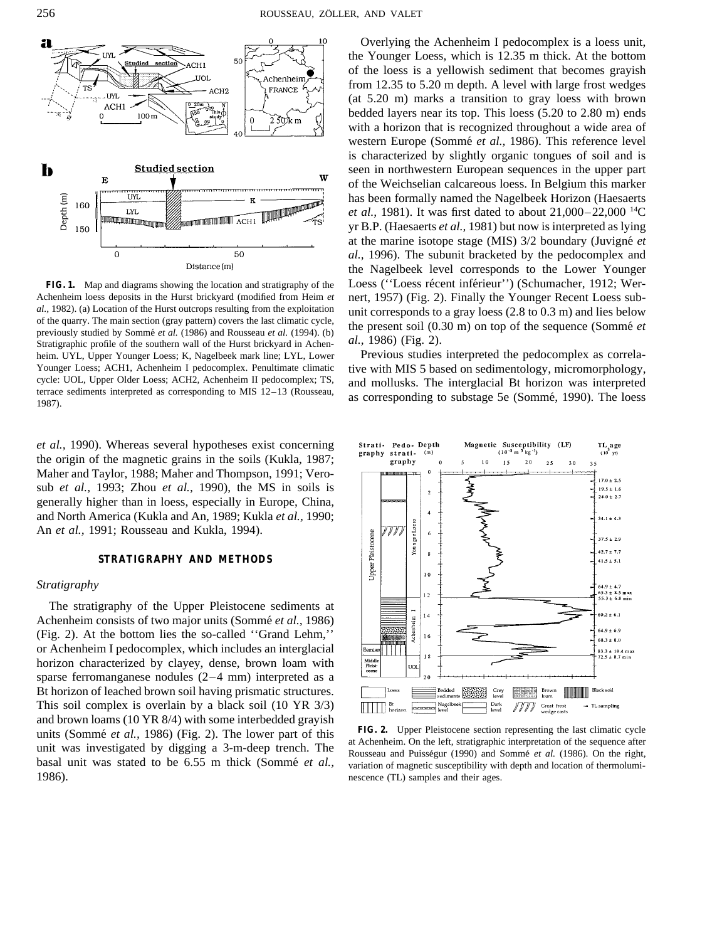

Achenheim loess deposits in the Hurst brickyard (modified from Heim *et* nert, 1957) (Fig. 2). Finally the Younger Recent Loess sub-<br>*al.*, 1982). (a) Location of the Hurst outcrops resulting from the exploitation unit cor al., 1982). (a) Location of the Hurst outcrops resulting from the exploitation<br>of the quarry. The main section (gray pattern) covers the last climatic cycle,<br>previously studied by Sommé *et al.* (1986) and Rousseau *et al* heim. UYL, Upper Younger Loess; K, Nagelbeek mark line; LYL, Lower Previous studies interpreted the pedocomplex as correlacycle: UOL, Upper Older Loess; ACH2, Achenheim II pedocomplex; TS, and mollusks. The interglacial Bt horizon was interpreted terrace sediments interpreted as corresponding to MIS 12–13 (Rousseau, as corresponding to substa

*et al.,* 1990). Whereas several hypotheses exist concerning the origin of the magnetic grains in the soils (Kukla, 1987; Maher and Taylor, 1988; Maher and Thompson, 1991; Verosub *et al.,* 1993; Zhou *et al.,* 1990), the MS in soils is generally higher than in loess, especially in Europe, China, and North America (Kukla and An, 1989; Kukla *et al.,* 1990; An *et al.,* 1991; Rousseau and Kukla, 1994).

### **STRATIGRAPHY AND METHODS**

### *Stratigraphy*

The stratigraphy of the Upper Pleistocene sediments at Achenheim consists of two major units (Sommé *et al.*, 1986) (Fig. 2). At the bottom lies the so-called ''Grand Lehm,'' or Achenheim I pedocomplex, which includes an interglacial horizon characterized by clayey, dense, brown loam with sparse ferromanganese nodules (2–4 mm) interpreted as a Bt horizon of leached brown soil having prismatic structures. This soil complex is overlain by a black soil (10 YR 3/3) and brown loams (10 YR 8/4) with some interbedded grayish units (Sommé et al., 1986) (Fig. 2). The lower part of this **FIG. 2.** Upper Pleistocene section representing the last climatic cycle unit was investigated by digging a 3-m-deep trench. The Rousseau and Puisségur (1990) an 1986). **nescence** (TL) samples and their ages.

Overlying the Achenheim I pedocomplex is a loess unit, the Younger Loess, which is 12.35 m thick. At the bottom of the loess is a yellowish sediment that becomes grayish from 12.35 to 5.20 m depth. A level with large frost wedges (at 5.20 m) marks a transition to gray loess with brown bedded layers near its top. This loess (5.20 to 2.80 m) ends with a horizon that is recognized throughout a wide area of western Europe (Sommé *et al.*, 1986). This reference level is characterized by slightly organic tongues of soil and is seen in northwestern European sequences in the upper part of the Weichselian calcareous loess. In Belgium this marker has been formally named the Nagelbeek Horizon (Haesaerts *et al.,* 1981). It was first dated to about 21,000–22,000 14C yr B.P. (Haesaerts *et al.,* 1981) but now is interpreted as lying at the marine isotope stage (MIS) 3/2 boundary (Juvigné *et al.,* 1996). The subunit bracketed by the pedocomplex and the Nagelbeek level corresponds to the Lower Younger FIG. 1. Map and diagrams showing the location and stratigraphy of the Loess ("Loess récent inférieur") (Schumacher, 1912; Wer-

Younger Loess; ACH1, Achenheim I pedocomplex. Penultimate climatic tive with MIS 5 based on sedimentology, micromorphology, cycle: UOL, Upper Older Loess; ACH2, Achenheim II pedocomplex; TS, and mollusks. The interalacial

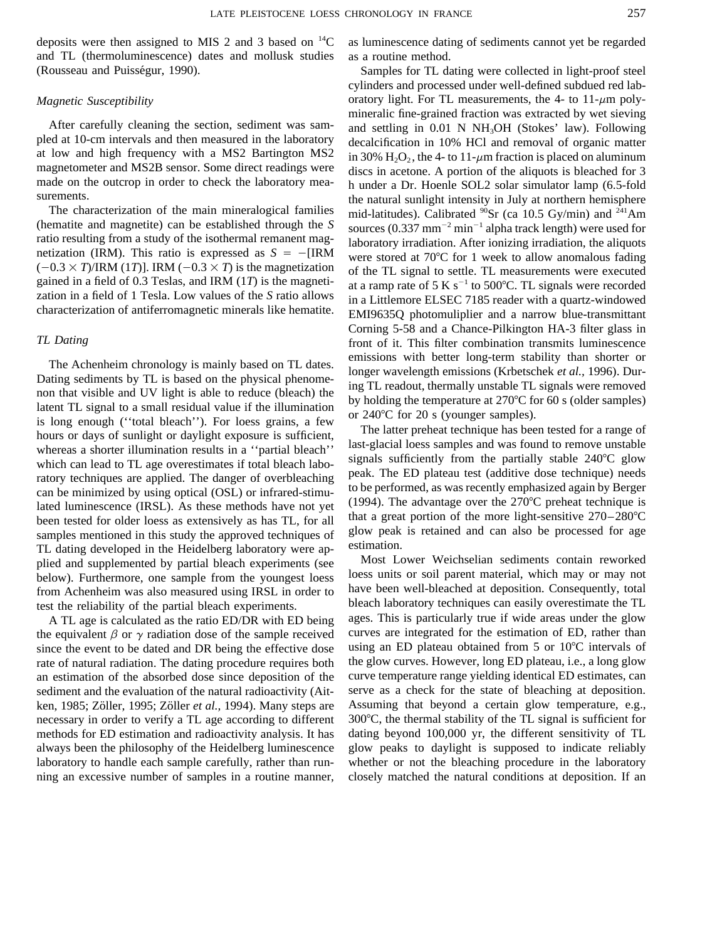The Achenheim chronology is mainly based on TL dates. emissions with better long-term stability than shorter or<br>Dating sediments by TL is based on the physical phenome-<br>ing TL readout, thermally unstable TL signals were r below). Furthermore, one sample from the youngest loess loess units or soil parent material, which may or may not from Achenheim was also measured using IRSL in order to have been well-bleached at deposition. Consequently, total test the reliability of the partial bleach experiments. bleach laboratory techniques can easily overestimate the TL

the equivalent  $\beta$  or  $\gamma$  radiation dose of the sample received curves are integrated for the estimation of ED, rather than since the event to be dated and DR being the effective dose using an ED plateau obtained from 5 or  $10^{\circ}$ C intervals of rate of natural radiation. The dating procedure requires both the glow curves. However, long ED plateau, i.e., a long glow an estimation of the absorbed dose since deposition of the curve temperature range yielding identical ED estimates, can sediment and the evaluation of the natural radioactivity (Ait-<br>serve as a check for the state of bleaching at deposition. ken, 1985; Zöller, 1995; Zöller et al., 1994). Many steps are Assuming that beyond a certain glow temperature, e.g., necessary in order to verify a TL age according to different 300°C, the thermal stability of the TL signal is sufficient for methods for ED estimation and radioactivity analysis. It has dating beyond 100,000 yr, the different sensitivity of TL always been the philosophy of the Heidelberg luminescence glow peaks to daylight is supposed to indicate reliably laboratory to handle each sample carefully, rather than run- whether or not the bleaching procedure in the laboratory

(Rousseau and Puisségur, 1990). Samples for TL dating were collected in light-proof steel cylinders and processed under well-defined subdued red lab-*Magnetic Susceptibility* **oratory light.** For TL measurements, the 4- to 11- $\mu$ m polymineralic fine-grained fraction was extracted by wet sieving After carefully cleaning the section, sediment was sam-<br>and settling in 0.01 N NH<sub>3</sub>OH (Stokes' law). Following pled at 10-cm intervals and then measured in the laboratory decalcification in 10% HCl and removal of organic matter at low and high frequency with a MS2 Bartington MS2 in 30% H<sub>Q</sub>, the 4- to 11-*u*m fraction is placed on at low and high frequency with a MS2 Bartington MS2 in 30%  $H_2O_2$ , the 4- to 11- $\mu$ m fraction is placed on aluminum<br>magnetometer and MS2B sensor. Some direct readings were discs in acetone. A portion of the aliquots is magnetometer and MS2B sensor. Some direct readings were<br>made on the outcrop in order to check the laboratory mea-<br>surements. surements.<br>The characterization of the main mineralogical families mid-latitudes). Calibrated <sup>90</sup>Sr (ca 10.5 Gy/min) and <sup>241</sup>Am (hematite and magnetite) can be established through the S sources (0.337 mm<sup>-2</sup> min<sup>-1</sup> alp (hematite and magnetite) can be established through the S<br>
ratio resulting from a study of the isothermal remanent mag-<br>
netization. After ionizing irradiation, the aliquots<br>
netization (IRM). This ratio is expressed as Corning 5-58 and a Chance-Pilkington HA-3 filter glass in *TL Dating* front of it. This filter combination transmits luminescence

A TL age is calculated as the ratio ED/DR with ED being ages. This is particularly true if wide areas under the glow ning an excessive number of samples in a routine manner, closely matched the natural conditions at deposition. If an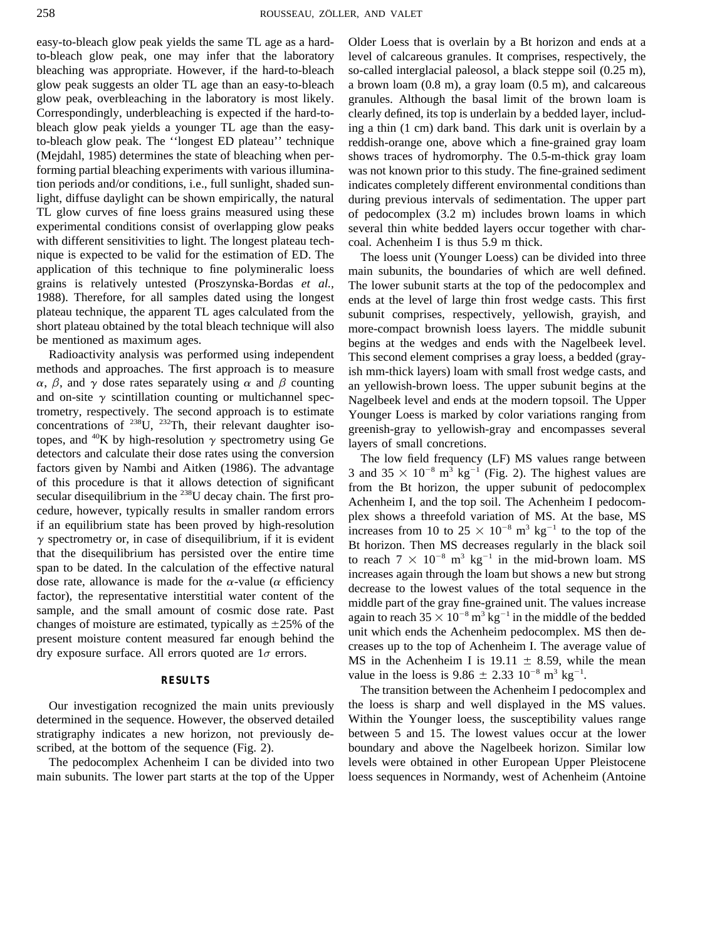with different sensitivities to light. The longest plateau tech-coal. Achenheim I is thus 5.9 m thick. nique is expected to be valid for the estimation of ED. The The loess unit (Younger Loess) can be divided into three

Radioactivity analysis was performed using independent This second element comprises a gray loess, a bedded (gray-<br>methods and approaches. The first approach is to measure ish mm-thick layers) loam with small frost wedge c methods and approaches. The first approach is to measure ish mm-thick layers) loam with small frost wedge casts, and  $\alpha$ ,  $\beta$ , and  $\gamma$  dose rates separately using  $\alpha$  and  $\beta$  counting an yellowish-brown loess. The up and on-site  $\gamma$  scintillation counting or multichannel spec-<br>trometry, respectively. The second approach is to estimate<br>orcentrations of <sup>238</sup>U, <sup>232</sup>Th, their relevant daughter iso-<br>concentrations of <sup>238</sup>U, <sup>232</sup>Th, th

main subunits. The lower part starts at the top of the Upper loess sequences in Normandy, west of Achenheim (Antoine

easy-to-bleach glow peak yields the same TL age as a hard- Older Loess that is overlain by a Bt horizon and ends at a to-bleach glow peak, one may infer that the laboratory level of calcareous granules. It comprises, respectively, the bleaching was appropriate. However, if the hard-to-bleach so-called interglacial paleosol, a black steppe soil (0.25 m), glow peak suggests an older TL age than an easy-to-bleach a brown loam (0.8 m), a gray loam (0.5 m), and calcareous glow peak, overbleaching in the laboratory is most likely. granules. Although the basal limit of the brown loam is Correspondingly, underbleaching is expected if the hard-to- clearly defined, its top is underlain by a bedded layer, includbleach glow peak yields a younger TL age than the easy- ing a thin (1 cm) dark band. This dark unit is overlain by a to-bleach glow peak. The ''longest ED plateau'' technique reddish-orange one, above which a fine-grained gray loam (Mejdahl, 1985) determines the state of bleaching when per- shows traces of hydromorphy. The 0.5-m-thick gray loam forming partial bleaching experiments with various illumina- was not known prior to this study. The fine-grained sediment tion periods and/or conditions, i.e., full sunlight, shaded sun- indicates completely different environmental conditions than light, diffuse daylight can be shown empirically, the natural during previous intervals of sedimentation. The upper part TL glow curves of fine loess grains measured using these of pedocomplex (3.2 m) includes brown loams in which experimental conditions consist of overlapping glow peaks several thin white bedded layers occur together with char-

application of this technique to fine polymineralic loess main subunits, the boundaries of which are well defined.<br>grains is relatively untested (Proszynska-Bordas *et al.*, The lower subunit starts at the top of the pedo The lower subunit starts at the top of the pedocomplex and 1988). Therefore, for all samples dated using the longest ends at the level of large thin frost wedge casts. This first plateau technique, the apparent TL ages calculated from the subunit comprises, respectively, vellowish plateau technique, the apparent TL ages calculated from the subunit comprises, respectively, yellowish, grayish, and short plateau obtained by the total bleach technique will also more-compact brownish loess lavers. The mi short plateau obtained by the total bleach technique will also more-compact brownish loess layers. The middle subunit<br>be mentioned as maximum ages. begins at the wedges and ends with the Nagelbeek level.<br>Radioactivity analysis was performed using independent This second element comprises a gray loess a hedded (gray-

γ spectrometry or, in case of disequilibrium, if it is evident<br>that the disequilibrium has persisted over the entire time<br>span to be dated. In the calculation of the effective natural<br>span to be dated. In the calculation **RESULTS** value in the loess is  $9.86 \pm 2.33 \, 10^{-8} \, \text{m}^3 \, \text{kg}^{-1}$ .

The transition between the Achenheim I pedocomplex and Our investigation recognized the main units previously the loess is sharp and well displayed in the MS values. determined in the sequence. However, the observed detailed Within the Younger loess, the susceptibility values range stratigraphy indicates a new horizon, not previously de- between 5 and 15. The lowest values occur at the lower scribed, at the bottom of the sequence (Fig. 2). boundary and above the Nagelbeek horizon. Similar low The pedocomplex Achenheim I can be divided into two levels were obtained in other European Upper Pleistocene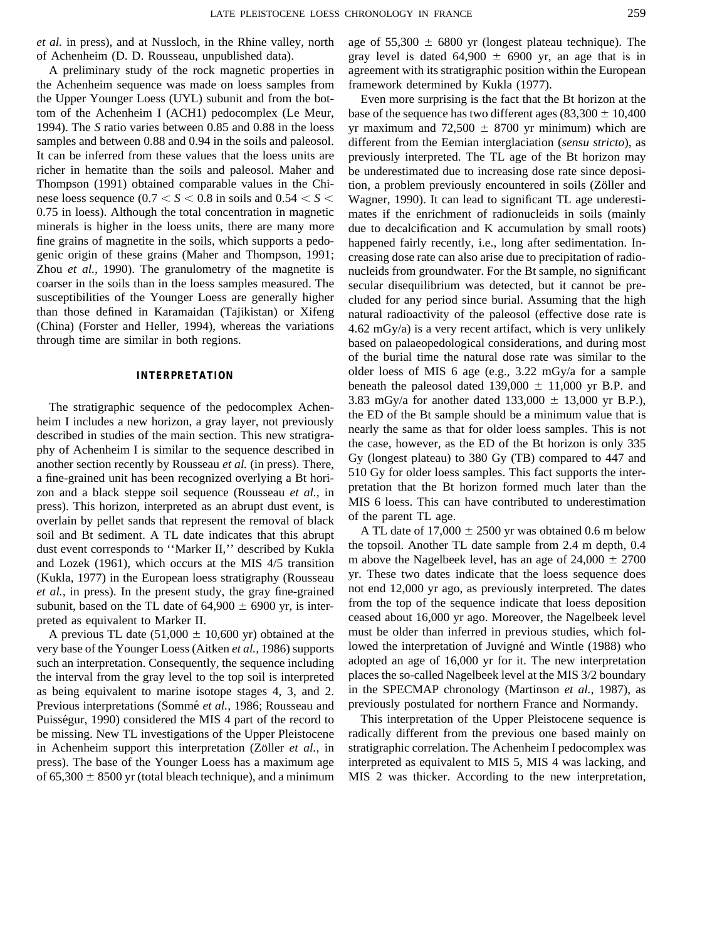*et al.* in press), and at Nussloch, in the Rhine valley, north age of  $55,300 \pm 6800$  yr (longest plateau technique). The

the Achenheim sequence was made on loess samples from framework determined by Kukla (1977). the Upper Younger Loess (UYL) subunit and from the bot- Even more surprising is the fact that the Bt horizon at the

zon and a black steppe soil sequence (Rousseau *et al.*, in pretation that the BU horizon formed much fact than the press). This horizon, interpreted as an abrupt dust event, is  $\frac{MIS}{6}$  foless. This can have contribute

Previous interpretations (Sommé et al., 1986; Rousseau and previously postulated for northern France and Normandy. Puisségur, 1990) considered the MIS 4 part of the record to This interpretation of the Upper Pleistocene sequence is

of Achenheim (D. D. Rousseau, unpublished data). gray level is dated 64,900  $\pm$  6900 yr, an age that is in A preliminary study of the rock magnetic properties in agreement with its stratigraphic position within the European

tom of the Achenheim I (ACH1) pedocomplex (Le Meur, base of the sequence has two different ages (83,300  $\pm$  10,400 1994). The *S* ratio varies between 0.85 and 0.88 in the loess yr maximum and 72,500  $\pm$  8700 yr minimum) which are samples and between 0.88 and 0.94 in the soils and paleosol. different from the Eemian interglaciation (*sensu stricto*), as It can be inferred from these values that the loess units are previously interpreted. The TL age of the Bt horizon may richer in hematite than the soils and paleosol. Maher and be underestimated due to increasing dose rate since deposi-Thompson (1991) obtained comparable values in the Chi- tion, a problem previously encountered in soils (Zöller and nese loess sequence  $(0.7 < S < 0.8$  in soils and  $0.54 < S <$  Wagner, 1990). It can lead to significant TL age underesti-0.75 in loess). Although the total concentration in magnetic mates if the enrichment of radionucleids in soils (mainly minerals is higher in the loess units, there are many more due to decalcification and K accumulation by small roots) fine grains of magnetite in the soils, which supports a pedo-<br>happened fairly recently, i.e., long after sedimentation. Ingenic origin of these grains (Maher and Thompson, 1991; creasing dose rate can also arise due to precipitation of radio-Zhou *et al.*, 1990). The granulometry of the magnetite is nucleids from groundwater. For the Bt sample, no significant coarser in the soils than in the loess samples measured. The secular disequilibrium was detected, but coarser in the soils than in the loess samples measured. The secular disequilibrium was detected, but it cannot be pre-<br>susceptibilities of the Younger Loess are generally higher cluded for any period since burial. Assumin cluded for any period since burial. Assuming that the high than those defined in Karamaidan (Tajikistan) or Xifeng natural radioactivity of the paleosol (effective dose rate is (China) (Forster and Heller, 1994), whereas the variations  $4.62 \text{ mGy/a}$ ) is a very recent artifact, which is very unlikely through time are similar in both regions. based on palaeopedological considerations, and during most of the burial time the natural dose rate was similar to the **INTERPRETATION** older loess of MIS 6 age (e.g., 3.22 mGy/a for a sample beneath the paleosol dated 139,000  $\pm$  11,000 yr B.P. and The stratigraphic sequence of the pedocomplex Achen-<br>heim I includes a new horizon, a gray layer, not previously<br>the ED of the Bt sample should be a minimum value that is<br>described in studies of the main section. This new

soil and Bt sediment. A TL date indicates that this abrupt A TL date of 17,000  $\pm$  2500 yr was obtained 0.6 m below<br>dust event corresponds to "Marker II" described by Kukla the topsoil. Another TL date sample from 2.4 m dust event corresponds to "Marker II," described by Kukla<br>and Lozek (1961), which occurs at the MIS 4/5 transition m above the Nagelbeek level, has an age of 24,000  $\pm$  2700 (Kukla, 1977) in the European loess stratigraphy (Rousseau yr. These two dates indicate that the loess sequence does et al., in press). In the present study, the gray fine-grained not end 12,000 yr ago, as previously interpreted. The dates subunit, based on the TL date of  $64,900 \pm 6900$  yr, is inter-<br>from the top of the sequence indicate that loess deposition preted as equivalent to Marker II. ceased about 16,000 yr ago. Moreover, the Nagelbeek level A previous TL date (51,000  $\pm$  10,600 yr) obtained at the must be older than inferred in previous studies, which folvery base of the Younger Loess (Aitken *et al.*, 1986) supports lowed the interpretation of Juvigné and Wintle (1988) who such an interpretation. Consequently, the sequence including adopted an age of 16,000 yr for it. The new interpretation the interval from the gray level to the top soil is interpreted places the so-called Nagelbeek level at the MIS 3/2 boundary as being equivalent to marine isotope stages 4, 3, and 2. in the SPECMAP chronology (Martinson *et al.,* 1987), as

be missing. New TL investigations of the Upper Pleistocene radically different from the previous one based mainly on in Achenheim support this interpretation (Zöller *et al.*, in stratigraphic correlation. The Achenheim I pedocomplex was press). The base of the Younger Loess has a maximum age interpreted as equivalent to MIS 5, MIS 4 was lacking, and of 65,300  $\pm$  8500 yr (total bleach technique), and a minimum MIS 2 was thicker. According to the new interpretation,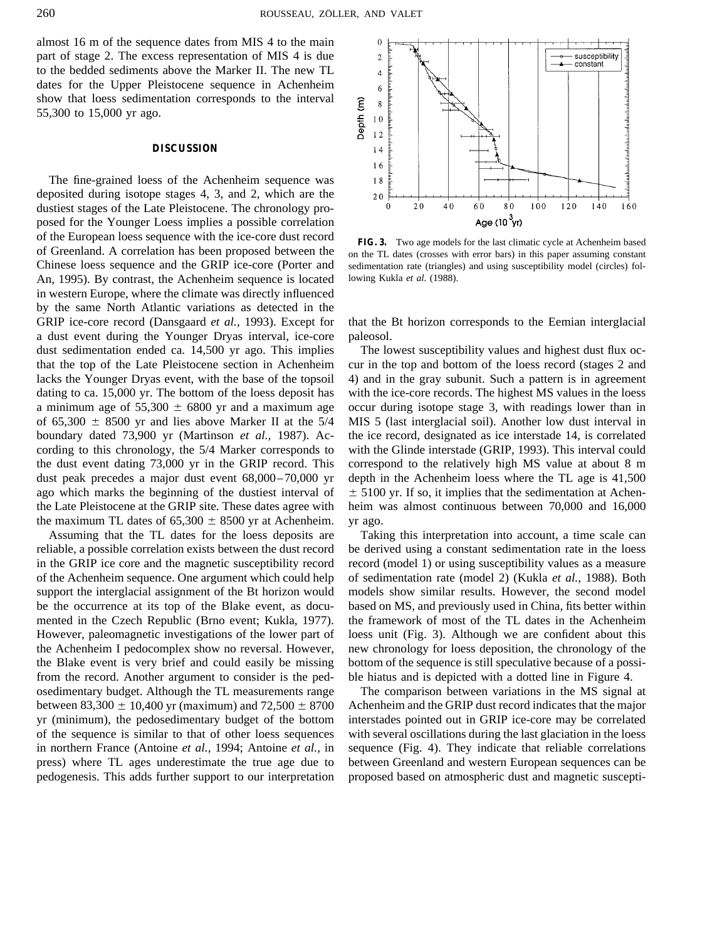almost 16 m of the sequence dates from MIS 4 to the main part of stage 2. The excess representation of MIS 4 is due to the bedded sediments above the Marker II. The new TL dates for the Upper Pleistocene sequence in Achenheim show that loess sedimentation corresponds to the interval 55,300 to 15,000 yr ago.

### **DISCUSSION**

The fine-grained loess of the Achenheim sequence was deposited during isotope stages 4, 3, and 2, which are the dustiest stages of the Late Pleistocene. The chronology proposed for the Younger Loess implies a possible correlation of the European loess sequence with the ice-core dust record<br>of Greenland. A correlation has been proposed between the<br>on the TL dates (crosses with error bars) in this paper assuming constant An, 1995). By contrast, the Achenheim sequence is located lowing Kukla *et al.* (1988). in western Europe, where the climate was directly influenced by the same North Atlantic variations as detected in the GRIP ice-core record (Dansgaard *et al.,* 1993). Except for that the Bt horizon corresponds to the Eemian interglacial a dust event during the Younger Dryas interval, ice-core paleosol. dust sedimentation ended ca. 14,500 yr ago. This implies The lowest susceptibility values and highest dust flux octhat the top of the Late Pleistocene section in Achenheim cur in the top and bottom of the loess record (stages 2 and lacks the Younger Dryas event, with the base of the topsoil 4) and in the gray subunit. Such a pattern is in agreement dating to ca. 15,000 yr. The bottom of the loess deposit has with the ice-core records. The highest MS values in the loess a minimum age of 55,300  $\pm$  6800 yr and a maximum age occur during isotope stage 3, with readings lower than in of 65,300  $\pm$  8500 yr and lies above Marker II at the 5/4 MIS 5 (last interglacial soil). Another low dust interval in boundary dated 73,900 yr (Martinson *et al.,* 1987). Ac- the ice record, designated as ice interstade 14, is correlated cording to this chronology, the 5/4 Marker corresponds to with the Glinde interstade (GRIP, 1993). This interval could the dust event dating 73,000 yr in the GRIP record. This correspond to the relatively high MS value at about 8 m dust peak precedes a major dust event 68,000–70,000 yr depth in the Achenheim loess where the TL age is 41,500 ago which marks the beginning of the dustiest interval of  $\pm$  5100 yr. If so, it implies that the sedimentation at Achenthe Late Pleistocene at the GRIP site. These dates agree with heim was almost continuous between 70,000 and 16,000 the maximum TL dates of  $65,300 \pm 8500$  yr at Achenheim. yr ago.

from the record. Another argument to consider is the ped- ble hiatus and is depicted with a dotted line in Figure 4. pedogenesis. This adds further support to our interpretation proposed based on atmospheric dust and magnetic suscepti-



Chinese loess sequence and the GRIP ice-core (Porter and sedimentation rate (triangles) and using susceptibility model (circles) fol-

Assuming that the TL dates for the loess deposits are Taking this interpretation into account, a time scale can reliable, a possible correlation exists between the dust record be derived using a constant sedimentation rate in the loess in the GRIP ice core and the magnetic susceptibility record record (model 1) or using susceptibility values as a measure of the Achenheim sequence. One argument which could help of sedimentation rate (model 2) (Kukla *et al.,* 1988). Both support the interglacial assignment of the Bt horizon would models show similar results. However, the second model be the occurrence at its top of the Blake event, as docu- based on MS, and previously used in China, fits better within mented in the Czech Republic (Brno event; Kukla, 1977). the framework of most of the TL dates in the Achenheim However, paleomagnetic investigations of the lower part of loess unit (Fig. 3). Although we are confident about this the Achenheim I pedocomplex show no reversal. However, new chronology for loess deposition, the chronology of the the Blake event is very brief and could easily be missing bottom of the sequence is still speculative because of a possi-

osedimentary budget. Although the TL measurements range The comparison between variations in the MS signal at between 83,300  $\pm$  10,400 yr (maximum) and 72,500  $\pm$  8700 Achenheim and the GRIP dust record indicates that the major yr (minimum), the pedosedimentary budget of the bottom interstades pointed out in GRIP ice-core may be correlated of the sequence is similar to that of other loess sequences with several oscillations during the last glaciation in the loess in northern France (Antoine *et al.,* 1994; Antoine *et al.,* in sequence (Fig. 4). They indicate that reliable correlations press) where TL ages underestimate the true age due to between Greenland and western European sequences can be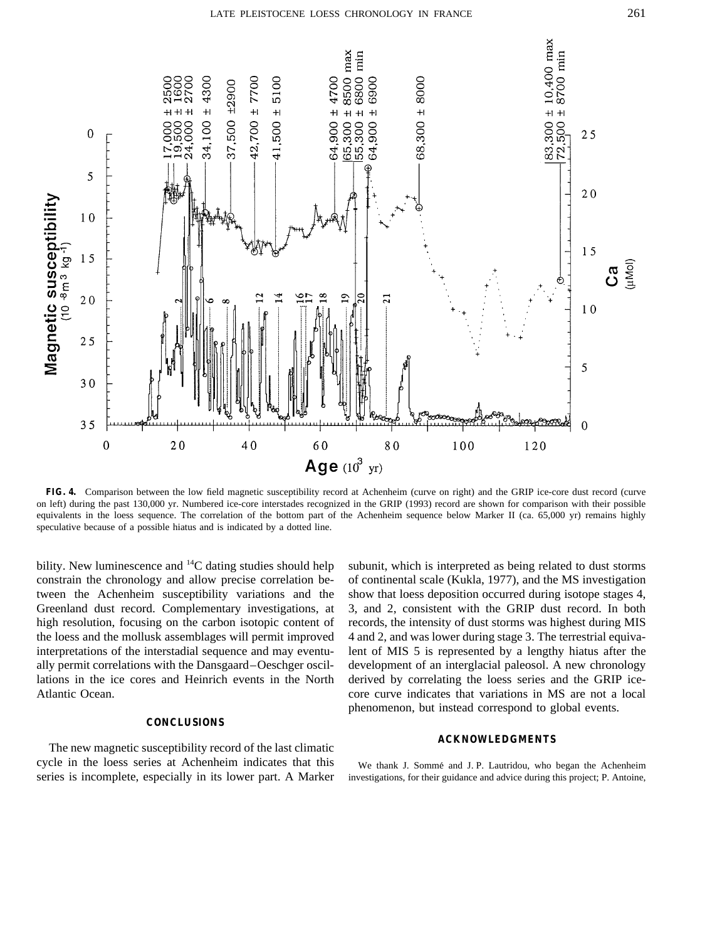

**FIG. 4.** Comparison between the low field magnetic susceptibility record at Achenheim (curve on right) and the GRIP ice-core dust record (curve on left) during the past 130,000 yr. Numbered ice-core interstades recognized in the GRIP (1993) record are shown for comparison with their possible equivalents in the loess sequence. The correlation of the bottom part of the Achenheim sequence below Marker II (ca. 65,000 yr) remains highly speculative because of a possible hiatus and is indicated by a dotted line.

bility. New luminescence and  $^{14}C$  dating studies should help subunit, which is interpreted as being related to dust storms constrain the chronology and allow precise correlation be- of continental scale (Kukla, 1977), and the MS investigation tween the Achenheim susceptibility variations and the show that loess deposition occurred during isotope stages 4, Greenland dust record. Complementary investigations, at 3, and 2, consistent with the GRIP dust record. In both high resolution, focusing on the carbon isotopic content of records, the intensity of dust storms was highest during MIS the loess and the mollusk assemblages will permit improved 4 and 2, and was lower during stage 3. The terrestrial equivainterpretations of the interstadial sequence and may eventu- lent of MIS 5 is represented by a lengthy hiatus after the ally permit correlations with the Dansgaard–Oeschger oscil- development of an interglacial paleosol. A new chronology lations in the ice cores and Heinrich events in the North derived by correlating the loess series and the GRIP ice-Atlantic Ocean. Core curve indicates that variations in MS are not a local

## **CONCLUSIONS**

The new magnetic susceptibility record of the last climatic cycle in the loess series at Achenheim indicates that this We thank J. Somme and J. P. Lautridou, who began the Achenheim

phenomenon, but instead correspond to global events.

# **ACKNOWLEDGMENTS**

series is incomplete, especially in its lower part. A Marker investigations, for their guidance and advice during this project; P. Antoine,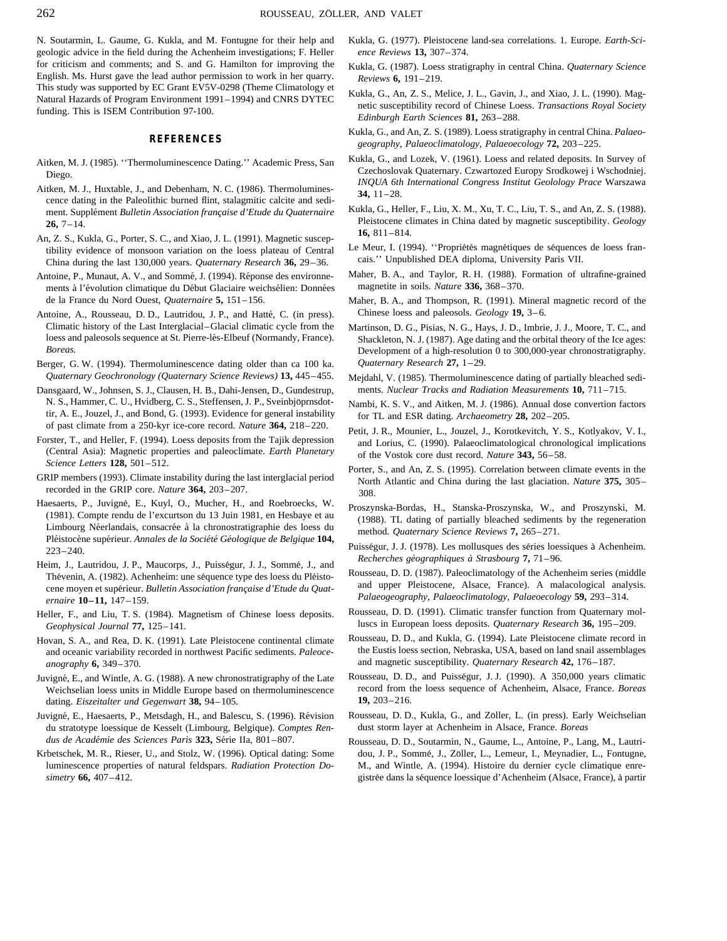N. Soutarmin, L. Gaume, G. Kukla, and M. Fontugne for their help and Kukla, G. (1977). Pleistocene land-sea correlations. 1. Europe. *Earth-Sci*geologic advice in the field during the Achenheim investigations; F. Heller *ence Reviews* **13,** 307–374. for criticism and comments; and S. and G. Hamilton for improving the Kukla, G. (1987). Loess stratigraphy in central China. *Quaternary Science* English. Ms. Hurst gave the lead author permission to work in her quarry. *Reviews* **6,** 191–219.

- 
- ment. Supplément Bulletin Association française d'Etude du Quaternaire
- An, Z. S., Kukla, G., Porter, S. C., and Xiao, J. L. (1991). Magnetic suscep-<br> **16,** 811–814.<br> **16, 811–814.**<br> **16, 811–814.**<br> **16, 811–814.**<br> **16, 811–814.**<br> **16, 811–814.**<br> **16, 811–814.**<br> **16, 812.**<br> **16, 812.**<br> **16, 81** tibility evidence of monsoon variation on the loess plateau of Central Le Meur, I. (1994). "Propriétés magnétiques de séquences"<br>China during the last 130.000 years *Quaternary Research* 36, 29–36 cais." Unpublished DEA d China during the last 130,000 years. *Quaternary Research* 36, 29–36.
- ments à l'évolution climatique du Début Glaciaire weichsélien: Données de la France du Nord Ouest, *Quaternaire* **5,** 151–156. Maher, B. A., and Thompson, R. (1991). Mineral magnetic record of the
- Antoine, A., Rousseau, D. D., Lautridou, J. P., and Hatté, C. (in press). Chinese loess and paleosols. *Geology* 19, 3–6. Climatic history of the Last Interglacial–Glacial climatic cycle from the Martinson, D. G., Pisias, N. G., Hays, J. D., Imbrie, J. J., Moore, T. C., and
- Berger, G. W. (1994). Thermoluminescence dating older than ca 100 ka. *Quaternary Research* **27,** 1–29. *Quaternary Geochronology (Quaternary Science Reviews)* **13,** 445–455. Mejdahl, V. (1985). Thermoluminescence dating of partially bleached sedi-
- N. S., Hammer, C. U., Hvidberg, C. S., Steffensen, J. P., Sveinbjöprnsdot-Nambi, K. S. V., and Aitken, M. J. (1986). Annual dose convertion factors tir, A. E., Jouzel, J., and Bond, G. (1993). Evidence for general instability for TL and ESR dating. *Archaeometry* **28,** 202–205.
- 
- 
- recorded in the GRIP core. *Nature* **364**, 203–207. 308.<br>Haesaerts, P., Juvigné, E., Kuyl, O., Mucher, H., and Roebroecks, W. **Proszy** aesaerts, P., Juvigne, E., Kuyi, O., Mucher, H., and Koeproecks, W. Proszynska-Bordas, H., Stanska-Proszynska, W., and Proszynski, M. (1981). Compte rendu de l'excurtson du 13 Juin 1981, en Hesbaye et au <br>Limbourg Néerland
- *Recherches geographiques a Strasbourg 7,* 71–96. Heim, J., Maucorps, J., Puissequr, J. J., Somme, J., and<br>Thérenin A (1987) Achanhaim: une séquence true des loess du Pléiste Rousseau, D. D. (1987). Paleoclimatology of cene moyen et supérieur. Bulletin Association française d'Etude du Quat-<br>ernaire 10-11, 147-159. Palaeogeography, Palaeoclimatology, Palaeoccology 59, 293-314.
- *Geophysical Journal* luscs in European loess deposits. *Quaternary Research* **36,** 195–209. **77,** 125–141.
- *anography* **6,** 349–370. and magnetic susceptibility. *Quaternary Research* **42,** 176–187.
- dating. *Eiszeitalter und Gegenwart* **38,** 94–105. **19,** 203–216.
- du stratotype loessique de Kesselt (Limbourg, Belgique). *Comptes Ren-* dust storm layer at Achenheim in Alsace, France. *Boreas dus de Académie des Sciences Paris* **323,** Série IIa, 801–807. Rousseau, D. D., Soutarmin, N., Gaume, L., Antoine, P., Lang, M., Lautri-
- 
- 
- 
- This study was supported by EC Grant EVDV-0298 (Theme Chinatology et Kukla, G., An, Z. S., Melice, J. L., Gavin, J., and Xiao, J. L. (1990). Mag-<br>Natural Hazards of Program Environment 1991–1994) and CNRS DYTEC<br>funding. Th
	- Kukla, G., and An, Z. S. (1989). Loess stratigraphy in central China. *Palaeo-* **REFERENCES** *geography, Palaeoclimatology, Palaeoecology* **72,** 203–225.
- Aitken, M. J. (1985). "Thermoluminescence Dating." Academic Press, San<br>Diego. Czechoslovak Quaternary. Czwartozed Europy Srodkowej i Wschodniej.<br>Aitken, M. J., Huxtable, J., and Debenham, N. C. (1986). Thermolumines-<br>cnce
	- 26, 7–14.<br>
	Pleistocene climates in China dated by magnetic susceptibility. *Geology* **26,** 7–14.<br> **26,** 811–814.
		-
- Antoine, P., Munaut, A. V., and Sommé, J. (1994). Réponse des environne-<br>ments à l'évolution climatique du Début Glaciaire weichsélien: Données magnetite in soils. Nature 336, 368–370.
	-
	- loess and paleosols sequence at St. Pierre-lès-Elbeuf (Normandy, France). Shackleton, N. J. (1987). Age dating and the orbital theory of the Ice ages: *Boreas.* Development of a high-resolution 0 to 300,000-year chronostratigraphy.
- Dansgaard, W., Johnsen, S. J., Clausen, H. B., Dahi-Jensen, D., Gundestrup, ments. *Nuclear Tracks and Radiation Measurements* **10,** 711–715.
	-
- For Past Chinate Hom a 250-kyl Ice-cole Fecolul Nuture 304, 216-220.<br>
For Petit, J. R., Mounier, L., Jouzel, J., Korotkevitch, Y. S., Kotlyakov, V. I.,<br>
Forster, T., and Heller, F. (1994). Loess deposits from the Tajik dep
- Border Echers 120, 301 312.<br>
Forter, S., and An, Z. S. (1995). Correlation between climate events in the GRIP members (1993). Climate instability during the last interglacial period<br>
North Atlantic and China during the las
	-
	- Puisségur, J. J. (1978). Les mollusques des séries loessiques à Achenheim.<br>
	223–240.<br> *Recherches géographiques à Strasbourg* 7, 71–96.
	- Thévenin, A. (1982). Achenheim: une séquence type des loess du Pléisto-<br>Capa moven et supérieur Bulletin Association française d'Etude du Quatre and upper Pleistocene, Alsace, France). A malacological analysis.
- Heller, F., and Liu, T. S. (1984). Magnetism of Chinese loess deposits. Rousseau, D. D. (1991). Climatic transfer function from Quaternary mol-
- Hovan, S. A., and Rea, D. K. (1991). Late Pleistocene continental climate Rousseau, D. D., and Kukla, G. (1994). Late Pleistocene climate record in and oceanic variability recorded in northwest Pacific sediments. *Paleoce-* the Eustis loess section, Nebraska, USA, based on land snail assemblages
- Juvigné, E., and Wintle, A. G. (1988). A new chronostratigraphy of the Late Rousseau, D. D., and Puisségur, J. J. (1990). A 350,000 years climatic Weichselian loess units in Middle Europe based on thermoluminescence record from the loess sequence of Achenheim, Alsace, France. *Boreas*
- Juvigné, E., Haesaerts, P., Metsdagh, H., and Balescu, S. (1996). Révision Rousseau, D. D., Kukla, G., and Zöller, L. (in press). Early Weichselian
- Krbetschek, M. R., Rieser, U., and Stolz, W. (1996). Optical dating: Some dou, J. P., Sommé, J., Zöller, L., Lemeur, I., Meynadier, L., Fontugne, luminescence properties of natural feldspars. *Radiation Protection Do-* M., and Wintle, A. (1994). Histoire du dernier cycle climatique enresimetry **66,** 407-412. **gistre** dans la séquence loessique d'Achenheim (Alsace, France), à partir